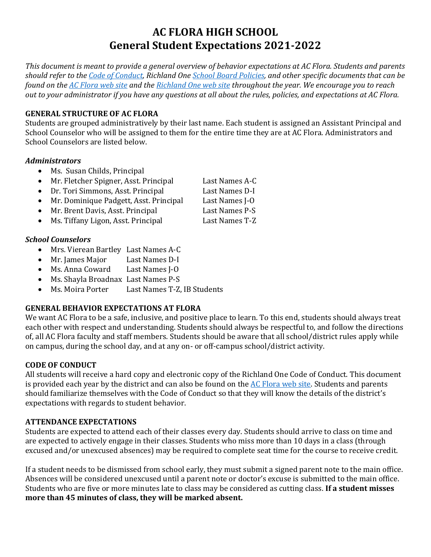# **AC FLORA HIGH SCHOOL General Student Expectations 2021-2022**

*This document is meant to provide a general overview of behavior expectations at AC Flora. Students and parents should refer to the [Code of Conduct,](https://www.richlandone.org/Page/12694) Richland On[e School Board Policies,](https://boardpolicyonline.com/?b=richland) and other specific documents that can be found on the [AC Flora web site](https://www.richlandone.org/Domain/45) and the [Richland One web site](https://www.richlandone.org/Domain/4) throughout the year. We encourage you to reach out to your administrator if you have any questions at all about the rules, policies, and expectations at AC Flora.*

# **GENERAL STRUCTURE OF AC FLORA**

Students are grouped administratively by their last name. Each student is assigned an Assistant Principal and School Counselor who will be assigned to them for the entire time they are at AC Flora. Administrators and School Counselors are listed below.

## *Administrators*

- Ms. Susan Childs, Principal
- Mr. Fletcher Spigner, Asst. Principal Last Names A-C
- Dr. Tori Simmons, Asst. Principal Last Names D-I
- Mr. Dominique Padgett, Asst. Principal Last Names J-O
- Mr. Brent Davis, Asst. Principal Last Names P-S
- Ms. Tiffany Ligon, Asst. Principal Last Names T-Z

# *School Counselors*

- Mrs. Vierean Bartley Last Names A-C
- Mr. James Major Last Names D-I
- Ms. Anna Coward Last Names J-O
- Ms. Shayla Broadnax Last Names P-S
- Ms. Moira Porter Last Names T-Z, IB Students

# **GENERAL BEHAVIOR EXPECTATIONS AT FLORA**

We want AC Flora to be a safe, inclusive, and positive place to learn. To this end, students should always treat each other with respect and understanding. Students should always be respectful to, and follow the directions of, all AC Flora faculty and staff members. Students should be aware that all school/district rules apply while on campus, during the school day, and at any on- or off-campus school/district activity.

# **CODE OF CONDUCT**

All students will receive a hard copy and electronic copy of the Richland One Code of Conduct. This document is provided each year by the district and can also be found on the [AC Flora web site.](https://www.richlandone.org/Page/12694) Students and parents should familiarize themselves with the Code of Conduct so that they will know the details of the district's expectations with regards to student behavior.

## **ATTENDANCE EXPECTATIONS**

Students are expected to attend each of their classes every day. Students should arrive to class on time and are expected to actively engage in their classes. Students who miss more than 10 days in a class (through excused and/or unexcused absences) may be required to complete seat time for the course to receive credit.

If a student needs to be dismissed from school early, they must submit a signed parent note to the main office. Absences will be considered unexcused until a parent note or doctor's excuse is submitted to the main office. Students who are five or more minutes late to class may be considered as cutting class. **If a student misses more than 45 minutes of class, they will be marked absent.**